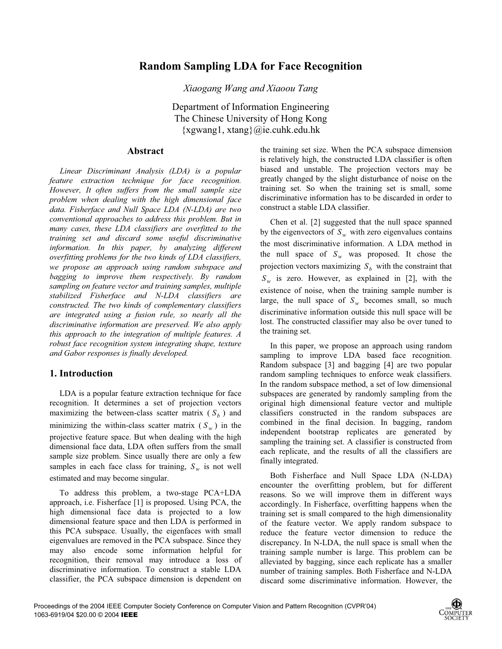# **Random Sampling LDA for Face Recognition**

*Xiaogang Wang and Xiaoou Tang*

Department of Information Engineering The Chinese University of Hong Kong {xgwang1, xtang}@ie.cuhk.edu.hk

### **Abstract**

 *Linear Discriminant Analysis (LDA) is a popular feature extraction technique for face recognition. However, It often suffers from the small sample size problem when dealing with the high dimensional face data. Fisherface and Null Space LDA (N-LDA) are two conventional approaches to address this problem. But in many cases, these LDA classifiers are overfitted to the training set and discard some useful discriminative information. In this paper, by analyzing different overfitting problems for the two kinds of LDA classifiers, we propose an approach using random subspace and bagging to improve them respectively. By random sampling on feature vector and training samples, multiple stabilized Fisherface and N-LDA classifiers are constructed. The two kinds of complementary classifiers are integrated using a fusion rule, so nearly all the discriminative information are preserved. We also apply this approach to the integration of multiple features. A robust face recognition system integrating shape, texture and Gabor responses is finally developed.* 

### **1. Introduction**

LDA is a popular feature extraction technique for face recognition. It determines a set of projection vectors maximizing the between-class scatter matrix  $(S_b)$  and minimizing the within-class scatter matrix  $(S_w)$  in the projective feature space. But when dealing with the high dimensional face data, LDA often suffers from the small sample size problem. Since usually there are only a few samples in each face class for training,  $S_w$  is not well estimated and may become singular.

To address this problem, a two-stage PCA+LDA approach, i.e. Fisherface [1] is proposed. Using PCA, the high dimensional face data is projected to a low dimensional feature space and then LDA is performed in this PCA subspace. Usually, the eigenfaces with small eigenvalues are removed in the PCA subspace. Since they may also encode some information helpful for recognition, their removal may introduce a loss of discriminative information. To construct a stable LDA classifier, the PCA subspace dimension is dependent on

the training set size. When the PCA subspace dimension is relatively high, the constructed LDA classifier is often biased and unstable. The projection vectors may be greatly changed by the slight disturbance of noise on the training set. So when the training set is small, some discriminative information has to be discarded in order to construct a stable LDA classifier.

Chen et al. [2] suggested that the null space spanned by the eigenvectors of  $S_w$  with zero eigenvalues contains the most discriminative information. A LDA method in the null space of  $S_w$  was proposed. It chose the projection vectors maximizing  $S_b$  with the constraint that  $S_w$  is zero. However, as explained in [2], with the existence of noise, when the training sample number is large, the null space of  $S_w$  becomes small, so much discriminative information outside this null space will be lost. The constructed classifier may also be over tuned to the training set.

In this paper, we propose an approach using random sampling to improve LDA based face recognition. Random subspace [3] and bagging [4] are two popular random sampling techniques to enforce weak classifiers. In the random subspace method, a set of low dimensional subspaces are generated by randomly sampling from the original high dimensional feature vector and multiple classifiers constructed in the random subspaces are combined in the final decision. In bagging, random independent bootstrap replicates are generated by sampling the training set. A classifier is constructed from each replicate, and the results of all the classifiers are finally integrated.

Both Fisherface and Null Space LDA (N-LDA) encounter the overfitting problem, but for different reasons. So we will improve them in different ways accordingly. In Fisherface, overfitting happens when the training set is small compared to the high dimensionality of the feature vector. We apply random subspace to reduce the feature vector dimension to reduce the discrepancy. In N-LDA, the null space is small when the training sample number is large. This problem can be alleviated by bagging, since each replicate has a smaller number of training samples. Both Fisherface and N-LDA discard some discriminative information. However, the

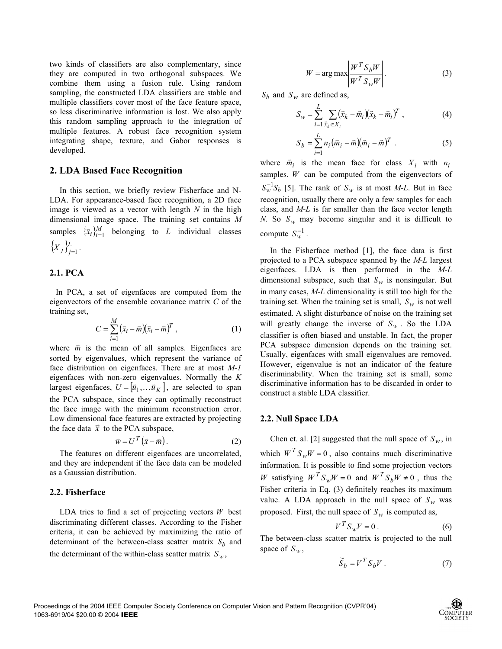two kinds of classifiers are also complementary, since they are computed in two orthogonal subspaces. We combine them using a fusion rule. Using random sampling, the constructed LDA classifiers are stable and multiple classifiers cover most of the face feature space, so less discriminative information is lost. We also apply this random sampling approach to the integration of multiple features. A robust face recognition system integrating shape, texture, and Gabor responses is developed.

# **2. LDA Based Face Recognition**

In this section, we briefly review Fisherface and N-LDA. For appearance-based face recognition, a 2D face image is viewed as a vector with length *N* in the high dimensional image space. The training set contains *M* samples  $\{\bar{x}_i\}_{i=1}^M$  belonging to *L* individual classes  $\{X_j\}_{j=1}^L$ .

### **2.1. PCA**

 In PCA, a set of eigenfaces are computed from the eigenvectors of the ensemble covariance matrix *C* of the training set,

$$
C = \sum_{i=1}^{M} \left( \bar{x}_i - \bar{m} \right) \left( \bar{x}_i - \bar{m} \right)^T, \qquad (1)
$$

where  $\vec{m}$  is the mean of all samples. Eigenfaces are sorted by eigenvalues, which represent the variance of face distribution on eigenfaces. There are at most *M-1* eigenfaces with non-zero eigenvalues. Normally the *K* largest eigenfaces,  $U = [\vec{u}_1, ... \vec{u}_K]$ , are selected to span the PCA subspace, since they can optimally reconstruct the face image with the minimum reconstruction error. Low dimensional face features are extracted by projecting<br>the face data.  $\vec{r}$  to the PCA subspace. the face data  $\vec{x}$  to the PCA subspace,

$$
\vec{w} = U^T (\vec{x} - \vec{m}). \tag{2}
$$

The features on different eigenfaces are uncorrelated, and they are independent if the face data can be modeled as a Gaussian distribution.

#### **2.2. Fisherface**

LDA tries to find a set of projecting vectors *W* best discriminating different classes. According to the Fisher criteria, it can be achieved by maximizing the ratio of determinant of the between-class scatter matrix  $S_b$  and the determinant of the within-class scatter matrix  $S_w$ ,

$$
W = \arg \max \left| \frac{W^T S_b W}{W^T S_w W} \right|.
$$
 (3)

 $S_b$  and  $S_w$  are defined as,

$$
S_w = \sum_{i=1}^{L} \sum_{\bar{x}_k \in X_i} (\bar{x}_k - \bar{m}_i)(\bar{x}_k - \bar{m}_i)^T,
$$
 (4)

$$
S_b = \sum_{i=1}^{L} n_i (\bar{m}_i - \bar{m})(\bar{m}_i - \bar{m})^T
$$
 (5)

where  $\vec{m}_i$  is the mean face for class  $X_i$  with  $n_i$ samples. *W* can be computed from the eigenvectors of  $S_w^{-1}S_h$  [5]. The rank of  $S_w$  is at most *M-L*. But in face recognition, usually there are only a few samples for each class, and *M-L* is far smaller than the face vector length *N*. So  $S_w$  may become singular and it is difficult to compute  $S_w^{-1}$ .

In the Fisherface method [1], the face data is first projected to a PCA subspace spanned by the *M-L* largest eigenfaces. LDA is then performed in the *M-L* dimensional subspace, such that  $S_w$  is nonsingular. But in many cases, *M-L* dimensionality is still too high for the training set. When the training set is small,  $S_w$  is not well estimated. A slight disturbance of noise on the training set will greatly change the inverse of  $S_w$ . So the LDA classifier is often biased and unstable. In fact, the proper PCA subspace dimension depends on the training set. Usually, eigenfaces with small eigenvalues are removed. However, eigenvalue is not an indicator of the feature discriminability. When the training set is small, some discriminative information has to be discarded in order to construct a stable LDA classifier.

### **2.2. Null Space LDA**

Chen et. al. [2] suggested that the null space of  $S_w$ , in which  $W^T S_w W = 0$ , also contains much discriminative information. It is possible to find some projection vectors *W* satisfying  $W^T S_w W = 0$  and  $W^T S_b W \neq 0$ , thus the Fisher criteria in Eq. (3) definitely reaches its maximum value. A LDA approach in the null space of  $S_w$  was proposed. First, the null space of  $S_w$  is computed as,

$$
V^T S_w V = 0.
$$
 (6)

The between-class scatter matrix is projected to the null space of  $S_w$ ,

$$
\widetilde{S}_b = V^T S_b V \,. \tag{7}
$$

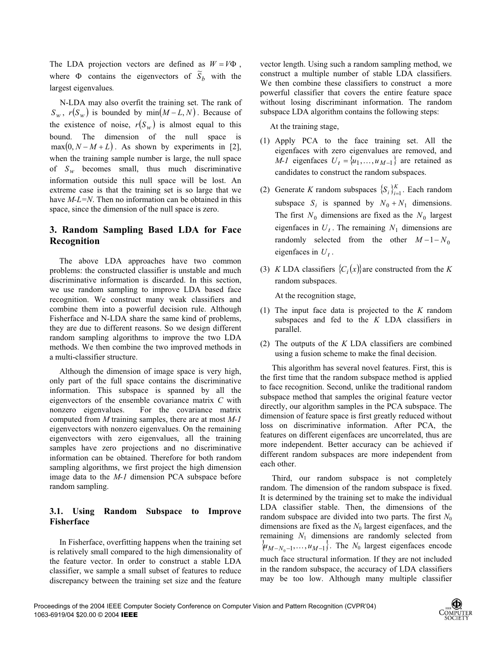The LDA projection vectors are defined as  $W = V\Phi$ , where  $\Phi$  contains the eigenvectors of  $\tilde{S}_b$  with the largest eigenvalues*.*

 N-LDA may also overfit the training set. The rank of  $S_w$ ,  $r(S_w)$  is bounded by min $(M-L, N)$ . Because of the existence of noise,  $r(S_w)$  is almost equal to this bound. The dimension of the null space is  $max(0, N-M+L)$ . As shown by experiments in [2], when the training sample number is large, the null space of *Sw* becomes small, thus much discriminative information outside this null space will be lost. An extreme case is that the training set is so large that we have *M-L=N*. Then no information can be obtained in this space, since the dimension of the null space is zero.

# **3. Random Sampling Based LDA for Face Recognition**

The above LDA approaches have two common problems: the constructed classifier is unstable and much discriminative information is discarded. In this section, we use random sampling to improve LDA based face recognition. We construct many weak classifiers and combine them into a powerful decision rule. Although Fisherface and N-LDA share the same kind of problems, they are due to different reasons. So we design different random sampling algorithms to improve the two LDA methods. We then combine the two improved methods in a multi-classifier structure.

Although the dimension of image space is very high, only part of the full space contains the discriminative information. This subspace is spanned by all the eigenvectors of the ensemble covariance matrix *C* with nonzero eigenvalues. For the covariance matrix computed from *M* training samples, there are at most *M-1* eigenvectors with nonzero eigenvalues. On the remaining eigenvectors with zero eigenvalues, all the training samples have zero projections and no discriminative information can be obtained. Therefore for both random sampling algorithms, we first project the high dimension image data to the *M-1* dimension PCA subspace before random sampling.

# **3.1. Using Random Subspace to Improve Fisherface**

In Fisherface, overfitting happens when the training set is relatively small compared to the high dimensionality of the feature vector. In order to construct a stable LDA classifier, we sample a small subset of features to reduce discrepancy between the training set size and the feature

vector length. Using such a random sampling method, we construct a multiple number of stable LDA classifiers. We then combine these classifiers to construct a more powerful classifier that covers the entire feature space without losing discriminant information. The random subspace LDA algorithm contains the following steps:

At the training stage,

- (1) Apply PCA to the face training set. All the eigenfaces with zero eigenvalues are removed, and *M-1* eigenfaces  $U_t = \{u_1, \dots, u_{M-1}\}\$  are retained as candidates to construct the random subspaces.
- (2) Generate *K* random subspaces  $\{S_i\}_{i=1}^K$ . Each random subspace  $S_i$  is spanned by  $N_0 + N_1$  dimensions. The first  $N_0$  dimensions are fixed as the  $N_0$  largest eigenfaces in  $U_t$ . The remaining  $N_1$  dimensions are randomly selected from the other  $M-1-N_0$ eigenfaces in  $U_t$ .
- (3) *K* LDA classifiers  $\{C_i(x)\}\$ are constructed from the *K* random subspaces.

At the recognition stage,

- (1) The input face data is projected to the *K* random subspaces and fed to the *K* LDA classifiers in parallel.
- (2) The outputs of the *K* LDA classifiers are combined using a fusion scheme to make the final decision.

This algorithm has several novel features. First, this is the first time that the random subspace method is applied to face recognition. Second, unlike the traditional random subspace method that samples the original feature vector directly, our algorithm samples in the PCA subspace. The dimension of feature space is first greatly reduced without loss on discriminative information. After PCA, the features on different eigenfaces are uncorrelated, thus are more independent. Better accuracy can be achieved if different random subspaces are more independent from each other.

Third, our random subspace is not completely random. The dimension of the random subspace is fixed. It is determined by the training set to make the individual LDA classifier stable. Then, the dimensions of the random subspace are divided into two parts. The first  $N_0$ dimensions are fixed as the  $N_0$  largest eigenfaces, and the remaining *N*1 dimensions are randomly selected from  $\{ u_{M-N_0-1}, \ldots, u_{M-1} \}$ . The  $N_0$  largest eigenfaces encode much face structural information. If they are not included in the random subspace, the accuracy of LDA classifiers may be too low. Although many multiple classifier

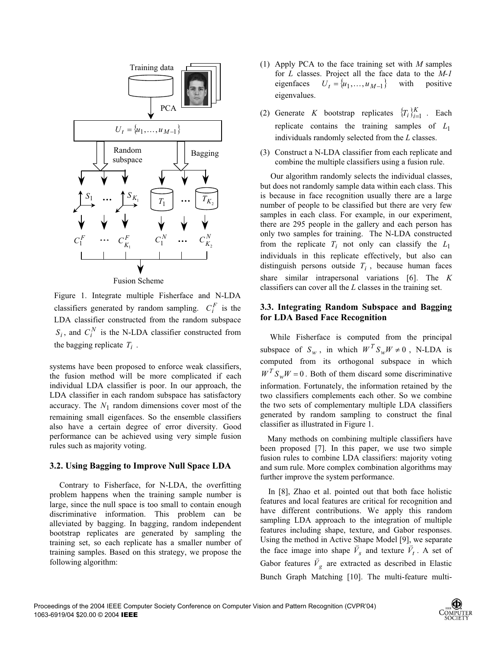

Fusion Scheme

Figure 1. Integrate multiple Fisherface and N-LDA classifiers generated by random sampling.  $C_i^F$  is the LDA classifier constructed from the random subspace  $S_i$ , and  $C_i^N$  is the N-LDA classifier constructed from the bagging replicate  $T_i$ .

systems have been proposed to enforce weak classifiers, the fusion method will be more complicated if each individual LDA classifier is poor. In our approach, the LDA classifier in each random subspace has satisfactory accuracy. The  $N_1$  random dimensions cover most of the remaining small eigenfaces. So the ensemble classifiers also have a certain degree of error diversity. Good performance can be achieved using very simple fusion rules such as majority voting.

#### **3.2. Using Bagging to Improve Null Space LDA**

Contrary to Fisherface, for N-LDA, the overfitting problem happens when the training sample number is large, since the null space is too small to contain enough discriminative information. This problem can be alleviated by bagging. In bagging, random independent bootstrap replicates are generated by sampling the training set, so each replicate has a smaller number of training samples. Based on this strategy, we propose the following algorithm:

- (1) Apply PCA to the face training set with *M* samples for *L* classes. Project all the face data to the *M-1* eigenfaces  $U_t = \{u_1, \dots, u_{M-1}\}$  with positive eigenvalues.
- (2) Generate *K* bootstrap replicates  $\{T_i\}_{i=1}^K$  . Each replicate contains the training samples of *L*<sup>1</sup> individuals randomly selected from the *L* classes.
- (3) Construct a N-LDA classifier from each replicate and combine the multiple classifiers using a fusion rule.

 Our algorithm randomly selects the individual classes, but does not randomly sample data within each class. This is because in face recognition usually there are a large number of people to be classified but there are very few samples in each class. For example, in our experiment, there are 295 people in the gallery and each person has only two samples for training. The N-LDA constructed from the replicate  $T_i$  not only can classify the  $L_1$ individuals in this replicate effectively, but also can distinguish persons outside  $T_i$ , because human faces share similar intrapersonal variations [6]. The *K* classifiers can cover all the *L* classes in the training set.

### **3.3. Integrating Random Subspace and Bagging for LDA Based Face Recognition**

While Fisherface is computed from the principal subspace of  $S_w$ , in which  $W^T S_w W \neq 0$ , N-LDA is computed from its orthogonal subspace in which  $W^T S_w W = 0$ . Both of them discard some discriminative information. Fortunately, the information retained by the two classifiers complements each other. So we combine the two sets of complementary multiple LDA classifiers generated by random sampling to construct the final classifier as illustrated in Figure 1.

Many methods on combining multiple classifiers have been proposed [7]. In this paper, we use two simple fusion rules to combine LDA classifiers: majority voting and sum rule. More complex combination algorithms may further improve the system performance.

In [8], Zhao et al. pointed out that both face holistic features and local features are critical for recognition and have different contributions. We apply this random sampling LDA approach to the integration of multiple features including shape, texture, and Gabor responses. Using the method in Active Shape Model [9], we separate the face image into shape *V<sub>s</sub>* and texture  $\overrightarrow{V}_t$ . A set of Gabor features  $\overrightarrow{V}_g$  are extracted as described in Elastic Bunch Graph Matching [10]. The multi-feature multi-

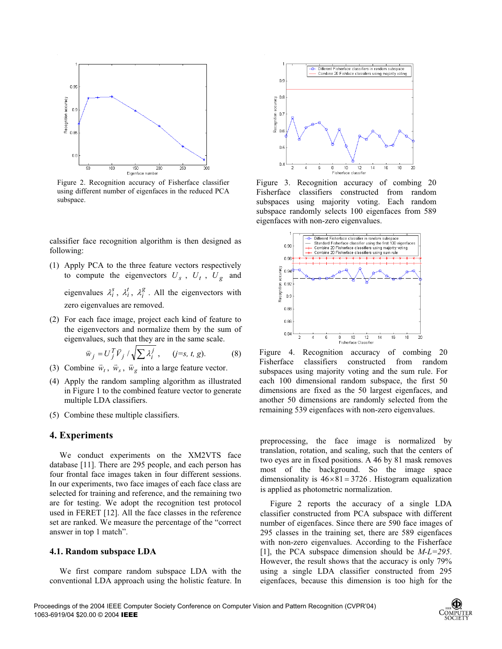

Figure 2. Recognition accuracy of Fisherface classifier using different number of eigenfaces in the reduced PCA subspace.

calssifier face recognition algorithm is then designed as following:

- (1) Apply PCA to the three feature vectors respectively to compute the eigenvectors  $U_s$ ,  $U_t$ ,  $U_g$  and eigenvalues  $\lambda_i^s$ ,  $\lambda_i^t$ ,  $\lambda_i^g$ . All the eigenvectors with zero eigenvalues are removed.
- (2) For each face image, project each kind of feature to the eigenvectors and normalize them by the sum of eigenvalues, such that they are in the same scale.

$$
\vec{w}_j = U_j^T \vec{V}_j / \sqrt{\sum \lambda_i^j}, \quad (j=s, t, g). \tag{8}
$$

- (3) Combine  $\vec{w}_t$ ,  $\vec{w}_s$ ,  $\vec{w}_g$  into a large feature vector.
- (4) Apply the random sampling algorithm as illustrated in Figure 1 to the combined feature vector to generate multiple LDA classifiers.
- (5) Combine these multiple classifiers.

### **4. Experiments**

We conduct experiments on the XM2VTS face database [11]. There are 295 people, and each person has four frontal face images taken in four different sessions. In our experiments, two face images of each face class are selected for training and reference, and the remaining two are for testing. We adopt the recognition test protocol used in FERET [12]. All the face classes in the reference set are ranked. We measure the percentage of the "correct answer in top 1 match".

#### **4.1. Random subspace LDA**

We first compare random subspace LDA with the conventional LDA approach using the holistic feature. In



Figure 3. Recognition accuracy of combing 20 Fisherface classifiers constructed from random subspaces using majority voting. Each random subspace randomly selects 100 eigenfaces from 589 eigenfaces with non-zero eigenvalues.



Figure 4. Recognition accuracy of combing 20 Fisherface classifiers constructed from random subspaces using majority voting and the sum rule. For each 100 dimensional random subspace, the first 50 dimensions are fixed as the 50 largest eigenfaces, and another 50 dimensions are randomly selected from the remaining 539 eigenfaces with non-zero eigenvalues.

preprocessing, the face image is normalized by translation, rotation, and scaling, such that the centers of two eyes are in fixed positions. A 46 by 81 mask removes most of the background. So the image space dimensionality is  $46 \times 81 = 3726$ . Histogram equalization is applied as photometric normalization.

Figure 2 reports the accuracy of a single LDA classifier constructed from PCA subspace with different number of eigenfaces. Since there are 590 face images of 295 classes in the training set, there are 589 eigenfaces with non-zero eigenvalues. According to the Fisherface [1], the PCA subspace dimension should be *M-L=295*. However, the result shows that the accuracy is only 79% using a single LDA classifier constructed from 295 eigenfaces, because this dimension is too high for the

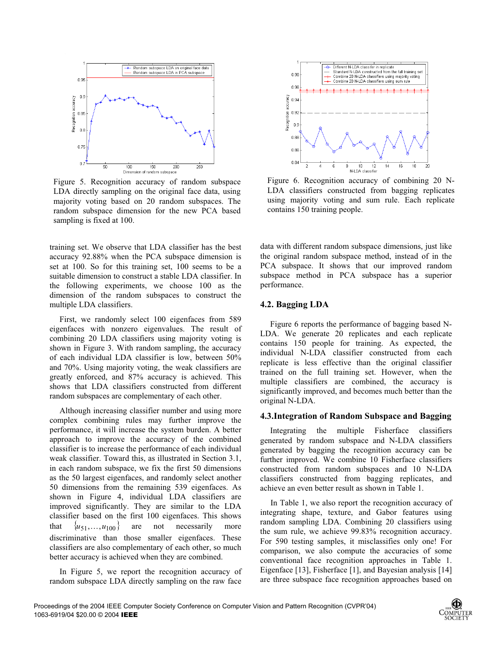

Figure 5. Recognition accuracy of random subspace LDA directly sampling on the original face data, using majority voting based on 20 random subspaces. The random subspace dimension for the new PCA based sampling is fixed at 100.

training set. We observe that LDA classifier has the best accuracy 92.88% when the PCA subspace dimension is set at 100. So for this training set, 100 seems to be a suitable dimension to construct a stable LDA classifier. In the following experiments, we choose 100 as the dimension of the random subspaces to construct the multiple LDA classifiers.

First, we randomly select 100 eigenfaces from 589 eigenfaces with nonzero eigenvalues. The result of combining 20 LDA classifiers using majority voting is shown in Figure 3. With random sampling, the accuracy of each individual LDA classifier is low, between 50% and 70%. Using majority voting, the weak classifiers are greatly enforced, and 87% accuracy is achieved. This shows that LDA classifiers constructed from different random subspaces are complementary of each other.

Although increasing classifier number and using more complex combining rules may further improve the performance, it will increase the system burden. A better approach to improve the accuracy of the combined classifier is to increase the performance of each individual weak classifier. Toward this, as illustrated in Section 3.1, in each random subspace, we fix the first 50 dimensions as the 50 largest eigenfaces, and randomly select another 50 dimensions from the remaining 539 eigenfaces. As shown in Figure 4, individual LDA classifiers are improved significantly. They are similar to the LDA classifier based on the first 100 eigenfaces. This shows that  $\{ u_{51},...,u_{100} \}$  are not necessarily more discriminative than those smaller eigenfaces. These classifiers are also complementary of each other, so much better accuracy is achieved when they are combined.

In Figure 5, we report the recognition accuracy of random subspace LDA directly sampling on the raw face



Figure 6. Recognition accuracy of combining 20 N-LDA classifiers constructed from bagging replicates using majority voting and sum rule. Each replicate contains 150 training people.

data with different random subspace dimensions, just like the original random subspace method, instead of in the PCA subspace. It shows that our improved random subspace method in PCA subspace has a superior performance.

#### **4.2. Bagging LDA**

Figure 6 reports the performance of bagging based N-LDA. We generate 20 replicates and each replicate contains 150 people for training. As expected, the individual N-LDA classifier constructed from each replicate is less effective than the original classifier trained on the full training set. However, when the multiple classifiers are combined, the accuracy is significantly improved, and becomes much better than the original N-LDA.

#### **4.3.Integration of Random Subspace and Bagging**

Integrating the multiple Fisherface classifiers generated by random subspace and N-LDA classifiers generated by bagging the recognition accuracy can be further improved. We combine 10 Fisherface classifiers constructed from random subspaces and 10 N-LDA classifiers constructed from bagging replicates, and achieve an even better result as shown in Table 1.

 In Table 1, we also report the recognition accuracy of integrating shape, texture, and Gabor features using random sampling LDA. Combining 20 classifiers using the sum rule, we achieve 99.83% recognition accuracy. For 590 testing samples, it misclassifies only one! For comparison, we also compute the accuracies of some conventional face recognition approaches in Table 1. Eigenface [13], Fisherface [1], and Bayesian analysis [14] are three subspace face recognition approaches based on